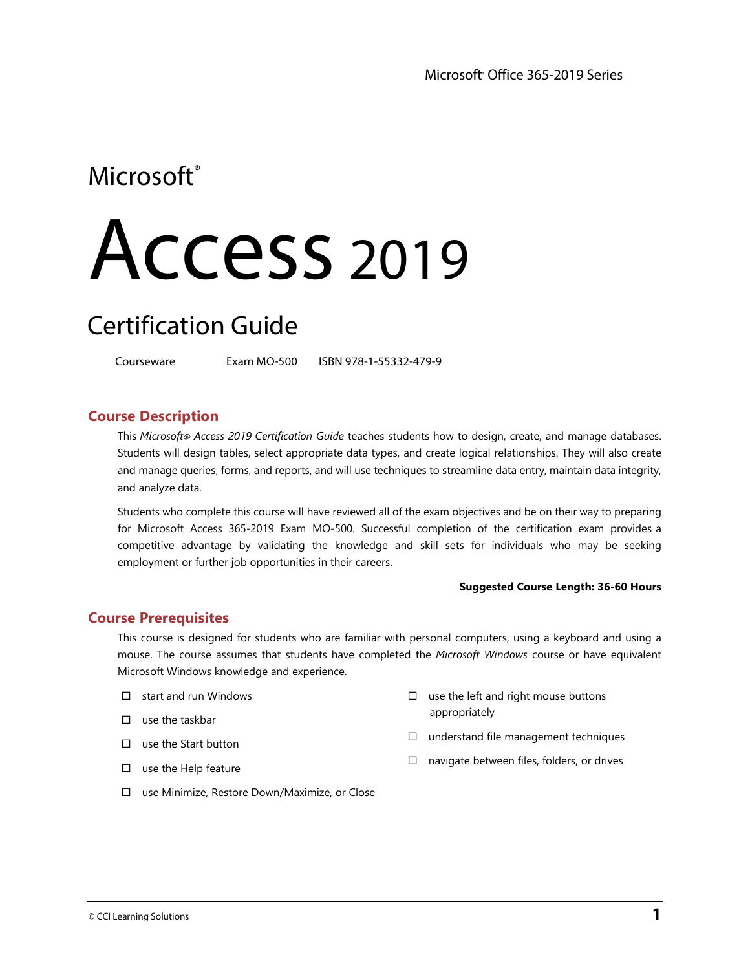# Microsoft<sup>®</sup>

# Access <sup>201</sup><sup>9</sup>

# Certification Guide

Courseware Exam MO-500 ISBN 978-1-55332-479-9

## **Course Description**

This *Microsoft*® *Access 2019 Certification Guide* teaches students how to design, create, and manage databases. Students will design tables, select appropriate data types, and create logical relationships. They will also create and manage queries, forms, and reports, and will use techniques to streamline data entry, maintain data integrity, and analyze data.

Students who complete this course will have reviewed all of the exam objectives and be on their way to preparing for Microsoft Access 365-2019 Exam MO-500. Successful completion of the certification exam provides a competitive advantage by validating the knowledge and skill sets for individuals who may be seeking employment or further job opportunities in their careers.

#### **Suggested Course Length: 36-60 Hours**

## **Course Prerequisites**

This course is designed for students who are familiar with personal computers, using a keyboard and using a mouse. The course assumes that students have completed the *Microsoft Windows* course or have equivalent Microsoft Windows knowledge and experience.

- $\Box$  start and run Windows
- $\square$  use the taskbar
- $\square$  use the Start button
- $\square$  use the Help feature
- $\square$  use the left and right mouse buttons appropriately
- $\Box$  understand file management techniques
- $\square$  navigate between files, folders, or drives
- □ use Minimize, Restore Down/Maximize, or Close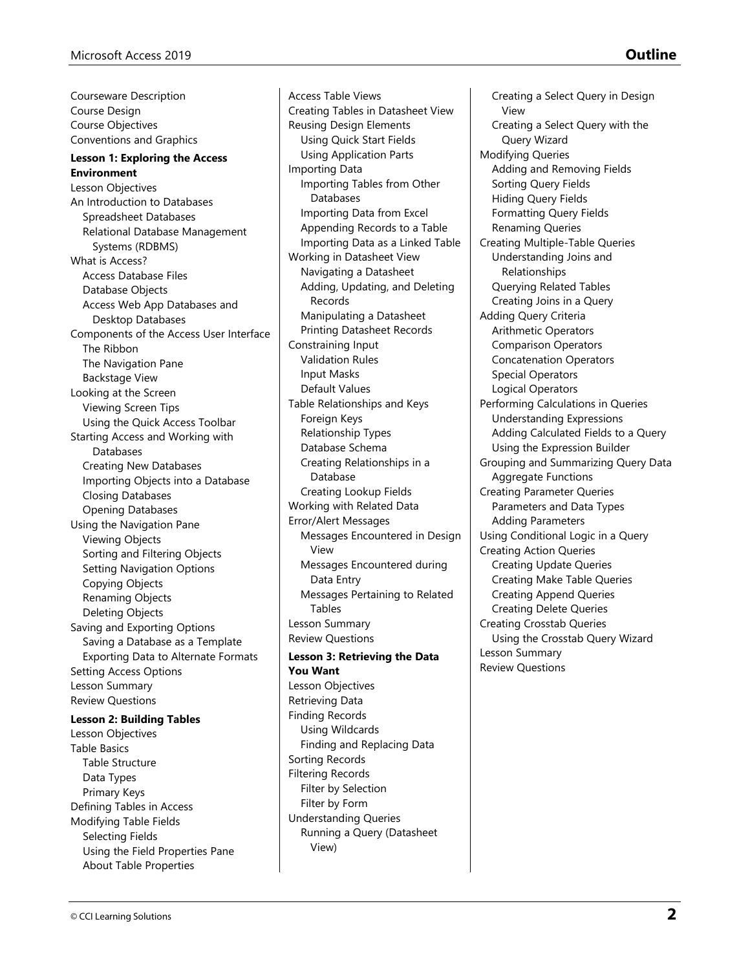Courseware Description Course Design Course Objectives Conventions and Graphics **Lesson 1: Exploring the Access Environment** Lesson Objectives An Introduction to Databases Spreadsheet Databases Relational Database Management Systems (RDBMS) What is Access? Access Database Files Database Objects Access Web App Databases and Desktop Databases Components of the Access User Interface The Ribbon The Navigation Pane Backstage View Looking at the Screen Viewing Screen Tips Using the Quick Access Toolbar Starting Access and Working with Databases Creating New Databases Importing Objects into a Database Closing Databases Opening Databases Using the Navigation Pane Viewing Objects Sorting and Filtering Objects Setting Navigation Options Copying Objects Renaming Objects Deleting Objects Saving and Exporting Options Saving a Database as a Template Exporting Data to Alternate Formats Setting Access Options Lesson Summary Review Questions **Lesson 2: Building Tables** 

Lesson Objectives Table Basics Table Structure Data Types Primary Keys Defining Tables in Access Modifying Table Fields Selecting Fields Using the Field Properties Pane About Table Properties

Access Table Views Creating Tables in Datasheet View Reusing Design Elements Using Quick Start Fields Using Application Parts Importing Data Importing Tables from Other Databases Importing Data from Excel Appending Records to a Table Importing Data as a Linked Table Working in Datasheet View Navigating a Datasheet Adding, Updating, and Deleting Records Manipulating a Datasheet Printing Datasheet Records Constraining Input Validation Rules Input Masks Default Values Table Relationships and Keys Foreign Keys Relationship Types Database Schema Creating Relationships in a Database Creating Lookup Fields Working with Related Data Error/Alert Messages Messages Encountered in Design View Messages Encountered during Data Entry Messages Pertaining to Related Tables Lesson Summary Review Questions **Lesson 3: Retrieving the Data You Want** Lesson Objectives Retrieving Data Finding Records Using Wildcards Finding and Replacing Data Sorting Records Filtering Records Filter by Selection Filter by Form Understanding Queries Running a Query (Datasheet

View)

Creating a Select Query in Design

Creating a Select Query with the

View

Query Wizard Modifying Queries Adding and Removing Fields Sorting Query Fields Hiding Query Fields Formatting Query Fields Renaming Queries Creating Multiple-Table Queries Understanding Joins and Relationships Querying Related Tables Creating Joins in a Query Adding Query Criteria Arithmetic Operators Comparison Operators Concatenation Operators Special Operators Logical Operators Performing Calculations in Queries Understanding Expressions Adding Calculated Fields to a Query Using the Expression Builder Grouping and Summarizing Query Data Aggregate Functions Creating Parameter Queries Parameters and Data Types Adding Parameters Using Conditional Logic in a Query Creating Action Queries Creating Update Queries Creating Make Table Queries Creating Append Queries Creating Delete Queries Creating Crosstab Queries Using the Crosstab Query Wizard Lesson Summary Review Questions